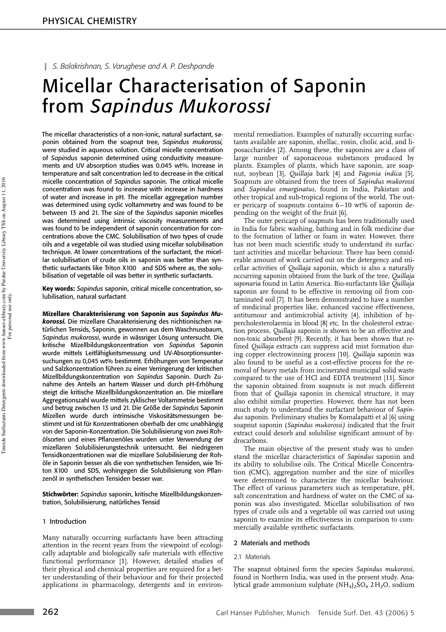# ❙ *S. Balakrishnan, S. Varughese and A. P. Deshpande*

# Micellar Characterisation of Saponin from *Sapindus Mukorossi*

The micellar characteristics of a non-ionic, natural surfactant, saponin obtained from the soapnut tree, *Sapindus mukorossi,* were studied in aqueous solution. Critical micelle concentration of *Sapindus* saponin determined using conductivity measurements and UV absorption studies was 0.045 wt%. Increase in temperature and salt concentration led to decrease in the critical micelle concentration of *Sapindus* saponin. The critical micelle concentration was found to increase with increase in hardness of water and increase in pH. The micellar aggregation number was determined using cyclic voltammetry and was found to be between 13 and 21. The size of the *Sapindus* saponin micelles was determined using intrinsic viscosity measurements and was found to be independent of saponin concentration for concentrations above the CMC. Solubilisation of two types of crude oils and a vegetable oil was studied using micellar solubilisation technique. At lower concentrations of the surfactant, the micellar solubilisation of crude oils in saponin was better than synthetic surfactants like Triton X100<sup>®</sup> and SDS where as, the solubilisation of vegetable oil was better in synthetic surfactants.

Key words: *Sapindus* saponin, critical micelle concentration, solubilisation, natural surfactant

Mizellare Charakterisierung von Saponin aus *Sapindus Mukorossi.* Die mizellare Charakterisierung des nichtionischen natürlichen Tensids, Saponin, gewonnen aus dem Waschnussbaum, *Sapindus mukorossi*, wurde in wässriger Lösung untersucht. Die kritische Mizellbildungskonzentration von *Sapindus* Saponin wurde mittels Leitfähigkeitsmessung und UV-Absorptionsuntersuchungen zu 0,045 wt% bestimmt. Erhöhungen von Temperatur und Salzkonzentration führen zu einer Verringerung der kritischen Mizellbildungskonzentration von *Sapindus* Saponin. Durch Zunahme des Anteils an hartem Wasser und durch pH-Erhöhung steigt die kritische Mizellbildungskonzentration an. Die mizellare Aggregationszahl wurde mittels zyklischer Voltammetrie bestimmt und betrug zwischen 13 und 21. Die Größe der *Sapindus* Saponin Mizellen wurde durch intrinsische Viskositätsmessungen bestimmt und ist für Konzentrationen oberhalb der cmc unabhängig von der Saponin-Konzentration. Die Solubilisierung von zwei Rohölsorten und eines Pflanzenöles wurden unter Verwendung der mizellaren Solubilisierungstechnik untersucht. Bei niedrigeren Tensidkonzentrationen war die mizellare Solubilisierung der Rohöle in Saponin besser als die von synthetischen Tensiden, wie Triton X100® und SDS, wohingegen die Solubilisierung von Pflanzenöl in synthetischen Tensiden besser war.

Stichwörter: *Sapindus* saponin, kritische Mizellbildungskonzentration, Solubilisierung, natürliches Tensid

# 1 Introduction

Many naturally occurring surfactants have been attracting attention in the recent years from the viewpoint of ecologically adaptable and biologically safe materials with effective functional performance [1]. However, detailed studies of their physical and chemical properties are required for a better understanding of their behaviour and for their projected applications in pharmacology, detergents and in environmental remediation. Examples of naturally occurring surfactants available are saponin, shellac, rosin, cholic acid, and liposaccharides [2]. Among these, the saponins are a class of large number of saponaceous substances produced by plants. Examples of plants, which have saponin, are soapnut, soybean [3], *Quillaja* bark [4] and *Fagonia indica* [5]. Soapnuts are obtained from the trees of *Sapindus mukorossi* and *Sapindus emarginatus,* found in India, Pakistan and other tropical and sub-tropical regions of the world. The outer pericarp of soapnuts contains 6–10 wt% of saponin depending on the weight of the fruit [6].

The outer pericarp of soapnuts has been traditionally used in India for fabric washing, bathing and in folk medicine due to the formation of lather or foam in water. However, there has not been much scientific study to understand its surfactant activities and micellar behaviour. There has been considerable amount of work carried out on the detergency and micellar activities of *Quillaja* saponin, which is also a naturally occurring saponin obtained from the bark of the tree, *Quillaja saponaria* found in Latin America. Bio-surfactants like *Quillaja* saponin are found to be effective in removing oil from contaminated soil [7]. It has been demonstrated to have a number of medicinal properties like, enhanced vaccine effectiveness, antitumour and antimicrobial activity [4], inhibition of hypercholesterolaemia in blood [8] etc. In the cholesterol extraction process, *Quillaja* saponin is shown to be an effective and non-toxic absorbent [9]. Recently, it has been shown that refined *Quillaja* extracts can suppress acid mist formation during copper electrowinning process [10]. *Quillaja* saponin was also found to be useful as a cost-effective process for the removal of heavy metals from incinerated municipal solid waste compared to the use of HCl and EDTA treatment [11]. Since the saponin obtained from soapnuts is not much different from that of *Quillaja* saponin in chemical structure, it may also exhibit similar properties. However, there has not been much study to understand the surfactant behaviour of *Sapindus* saponin. Preliminary studies by Komalapatti et al [6] using soapnut saponin (*Sapindus mukorossi)* indicated that the fruit extract could desorb and solubilise significant amount of hydrocarbons.

The main objective of the present study was to understand the micellar characteristics of *Sapindus* saponin and its ability to solubilise oils. The Critical Micelle Concentration (CMC), aggregation number and the size of micelles were determined to characterize the micellar beahviour. The effect of various parameters such as temperature, pH, salt concentration and hardness of water on the CMC of saponin was also investigated. Micellar solubilisation of two types of crude oils and a vegetable oil was carried out using saponin to examine its effectiveness in comparison to commercially available synthetic surfactants.

#### 2 Materials and methods

#### 2.1 Materials

The soapnut obtained form the species *Sapindus mukorossi,* found in Northern India, was used in the present study*.* Analytical grade ammonium sulphate (NH<sub>4)2</sub>SO<sub>4</sub> 2H<sub>2</sub>O, sodium

and the state of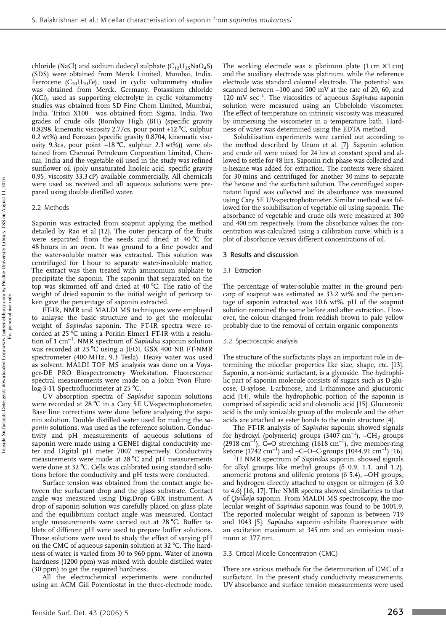chloride (NaCl) and sodium dodecyl sulphate  $(C_{12}H_{25}NaO_4S)$ (SDS) were obtained from Merck Limited, Mumbai, India. Ferrocene ( $C_{10}H_{10}$ Fe), used in cyclic voltammetry studies was obtained from Merck, Germany. Potassium chloride (KCl), used as supporting electrolyte in cyclic voltammetry studies was obtained from SD Fine Chem Limited, Mumbai,<br>India. Triton X100® was obtained from Sigma, India. Two grades of crude oils (Bombay High (BH) (specific gravity 0.8298, kinematic viscosity 2.77cs, pour point +12 °C, sulphur 0.2 wt%) and Forozan (specific gravity 0.8704, kinematic viscosity 9.3cs, pour point  $-18\degree C$ , sulphur 2.3 wt%)) were obtained from Chennai Petroleum Corporation Limited, Chennai, India and the vegetable oil used in the study was refined sunflower oil (poly unsaturated linoleic acid, specific gravity 0.95, viscosity 33.3 cP) available commercially. All chemicals were used as received and all aqueous solutions were prepared using double distilled water.

# 2.2 Methods

Saponin was extracted from soapnut applying the method detailed by Rao et al [12]. The outer pericarp of the fruits were separated from the seeds and dried at 40 °C for 48 hours in an oven. It was ground to a fine powder and the water-soluble matter was extracted. This solution was centrifuged for 1 hour to separate water-insoluble matter. The extract was then treated with ammonium sulphate to precipitate the saponin. The saponin that separated on the top was skimmed off and dried at 40 °C. The ratio of the weight of dried saponin to the initial weight of pericarp taken gave the percentage of saponin extracted.

FT-IR, NMR and MALDI MS techniques were employed to anlayse the basic structure and to get the molecular weight of *Sapindus* saponin. The FT-IR spectra were recorded at 25 °C using a Perkin Elmer1 FT-IR with a resolution of 1 cm–1. NMR spectrum of *Sapindus* saponin solution was recorded at 23 °C using a JEOL GSX 400 NB FT-NMR spectrometer (400 MHz, 9.3 Tesla). Heavy water was used as solvent. MALDI TOF MS analysis was done on a Voyager-DE PRO Biospectrometry Workstation. Fluorescence spectral measurements were made on a Jobin Yvon Flurolog-3-11 Spectrofluorimeter at 25 °C.

UV absorption spectra of *Sapindus* saponin solutions were recorded at 28 °C in a Cary 5E UV-spectrophotometer. Base line corrections were done before analysing the saponin solution. Double distilled water used for making the *saponin* solutions, was used as the reference solution. Conductivity and pH measurements of aqueous solutions of saponin were made using a GENEI digital conductivity meter and Digital pH meter 7007 respectively. Conductivity measurements were made at 28 °C and pH measurements were done at 32 °C. Cells was calibrated using standard solutions before the conductivity and pH tests were conducted.

Surface tension was obtained from the contact angle between the surfactant drop and the glass substrate. Contact angle was measured using DigiDrop GBX instrument. A drop of saponin solution was carefully placed on glass plate and the equilibrium contact angle was measured. Contact angle measurements were carried out at 28 °C. Buffer tablets of different pH were used to prepare buffer solutions. These solutions were used to study the effect of varying pH on the CMC of aqueous saponin solution at 32 °C. The hardness of water is varied from 30 to 960 ppm. Water of known hardness (1200 ppm) was mixed with double distilled water (30 ppm) to get the required hardness.

All the electrochemical experiments were conducted using an ACM Gill Potentiostat in the three-electrode mode.

The working electrode was a platinum plate  $(1 \text{ cm} \times 1 \text{ cm})$ and the auxiliary electrode was platinum, while the reference electrode was standard calomel electrode. The potential was scanned between –100 and 500 mV at the rate of 20, 60, and 120 mV sec–1. The viscosities of aqueous *Sapindus* saponin solution were measured using an Ubbelohde viscometer. The effect of temperature on intrinsic viscosity was measured by immersing the viscometer in a temperature bath. Hardness of water was determined using the EDTA method.

Solubilisation experiments were carried out according to the method described by Urum et al. [7]. Saponin solution and crude oil were mixed for 24 hrs at constant speed and allowed to settle for 48 hrs. Saponin rich phase was collected and n-hexane was added for extraction. The contents were shaken for 30 mins and centrifuged for another 30 mins to separate the hexane and the surfactant solution. The centrifuged supernatant liquid was collected and its absorbance was measured using Cary 5E UV-spectrophotometer. Similar method was followed for the solubilisation of vegetable oil using saponin. The absorbance of vegetable and crude oils were measured at 300 and 400 nm respectively. From the absorbance values the concentration was calculated using a calibration curve, which is a plot of absorbance versus different concentrations of oil.

# 3 Results and discussion

#### 3.1 Extraction

The percentage of water-soluble matter in the ground pericarp of soapnut was estimated as 33.2 wt% and the percentage of saponin extracted was 10.6 wt%. pH of the soapnut solution remained the same before and after extraction. However, the colour changed from reddish brown to pale yellow probably due to the removal of certain organic components

# 3.2 Spectroscopic analysis

The structure of the surfactants plays an important role in determining the micellar properties like size, shape, etc. [13]. Saponin, a non-ionic surfactant, is a glycoside. The hydrophilic part of saponin molecule consists of sugars such as D-glucose, D-xylose, L-arbinose, and L-rhamnose and glucuronic acid [14], while the hydrophobic portion of the saponin is comprised of sapindic acid and oleanolic acid [15]. Glucuronic acid is the only ionizable group of the molecule and the other acids are attached as ester bonds to the main structure [4].

The FT-IR analysis of *Sapindus* saponin showed signals for hydroxyl (polymeric) groups  $(3407 \text{ cm}^{-1})$ ,  $-CH_2$  groups (2918 cm<sup>-1</sup>), C=O stretching (1618 cm<sup>-1</sup>), five member-ring ketone (1742 cm<sup>-1</sup>) and  $-C$ –O–C-groups (1044.91 cm<sup>-1</sup>) [16].

<sup>1</sup>H NMR spectrum of *Sapindus* saponin, showed signals for alkyl groups like methyl groups  $(\delta$  0.9, 1.1, and 1.2), anomeric protons and olifenic protons ( $\delta$  5.4), -OH groups, and hydrogen directly attached to oxygen or nitrogen ( $\delta$  3.0 to 4.6) [16, 17]. The NMR spectra showed similarities to that of *Quillaja* saponin. From MALDI MS spectroscopy, the molecular weight of *Sapindus* saponin was found to be 1001.9. The reported molecular weight of saponin is between 719 and 1043 [5]. *Sapindus* saponin exhibits fluorescence with an excitation maximum at 345 nm and an emission maximum at 377 nm.

# 3.3 Critical Micelle Concentration (CMC)

There are various methods for the determination of CMC of a surfactant. In the present study conductivity measurements, UV absorbance and surface tension measurements were used

**Contract Contract**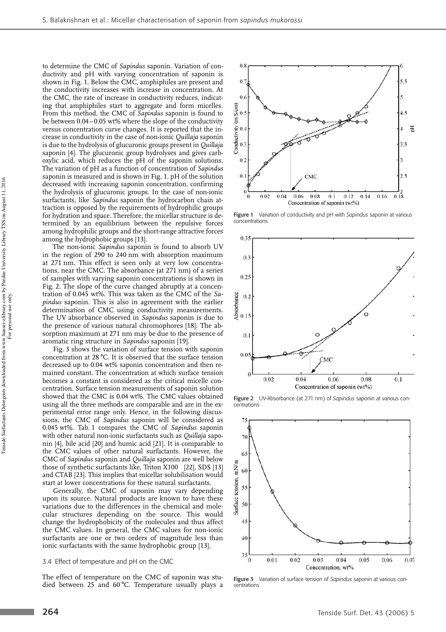to determine the CMC of *Sapindus* saponin. Variation of conductivity and pH with varying concentration of saponin is shown in Fig. 1. Below the CMC, amphiphiles are present and the conductivity increases with increase in concentration. At the CMC, the rate of increase in conductivity reduces, indicating that amphiphiles start to aggregate and form micelles. From this method, the CMC of *Sapindus* saponin is found to be between 0.04 –0.05 wt% where the slope of the conductivity versus concentration curve changes. It is reported that the increase in conductivity in the case of non-ionic *Quillaja* saponin is due to the hydrolysis of glucuronic groups present in *Quillaja* saponin [4]. The glucuronic group hydrolyses and gives carboxylic acid, which reduces the pH of the saponin solutions. The variation of pH as a function of concentration of *Sapindus* saponin is measured and is shown in Fig. 1. pH of the solution decreased with increasing saponin concentration, confirming the hydrolysis of glucuronic groups. In the case of non-ionic surfactants, like *Sapindus* saponin the hydrocarbon chain attraction is opposed by the requirements of hydrophilic groups for hydration and space. Therefore, the micellar structure is determined by an equilibrium between the repulsive forces among hydrophilic groups and the short-range attractive forces among the hydrophobic groups [13].

The non-ionic *Sapindus* saponin is found to absorb UV in the region of 290 to 240 nm with absorption maximum at 271 nm. This effect is seen only at very low concentrations, near the CMC. The absorbance (at 271 nm) of a series of samples with varying saponin concentrations is shown in Fig. 2. The slope of the curve changed abruptly at a concentration of 0.045 wt%. This was taken as the CMC of the *Sapindus* saponin. This is also in agreement with the earlier determination of CMC using conductivity measurements. The UV absorbance observed in *Sapindus* saponin is due to the presence of various natural chromophores [18]. The absorption maximum at 271 nm may be due to the presence of aromatic ring structure in *Sapindus* saponin [19].

Fig. 3 shows the variation of surface tension with saponin concentration at 28 °C. It is observed that the surface tension decreased up to 0.04 wt% saponin concentration and then remained constant. The concentration at which surface tension becomes a constant is considered as the critical micelle concentration. Surface tension measurements of saponin solution showed that the CMC is 0.04 wt%. The CMC values obtained using all the three methods are comparable and are in the experimental error range only. Hence, in the following discussions, the CMC of *Sapindus* saponin will be considered as 0.045 wt%. Tab. 1 compares the CMC of *Sapindus* saponin with other natural non-ionic surfactants such as *Quillaja* saponin [4], bile acid [20] and humic acid [21]. It is comparable to the CMC values of other natural surfactants. However, the CMC of *Sapindus* saponin and *Quillaja* saponin are well below those of synthetic surfactants like, Triton X100 [22], SDS [13] and CTAB [23]. This implies that micellar solubilisation would start at lower concentrations for these natural surfactants.

Generally, the CMC of saponin may vary depending upon its source. Natural products are known to have these variations due to the differences in the chemical and molecular structures depending on the source. This would change the hydrophobicity of the molecules and thus affect the CMC values. In general, the CMC values for non-ionic surfactants are one or two orders of magnitude less than ionic surfactants with the same hydrophobic group [13].

#### 3.4 Effect of temperature and pH on the CMC

The effect of temperature on the CMC of saponin was studied between 25 and 60 $\degree$ C. Temperature usually plays a



Figure 1 Variation of conductivity and pH with *Sapindus* saponin at various concentrations



Figure 2 UV-Absorbance (at 271 nm) of *Sapindus* saponin at various concentrations



Figure 3 Variation of surface tension of *Sapindus* saponin at various concentrations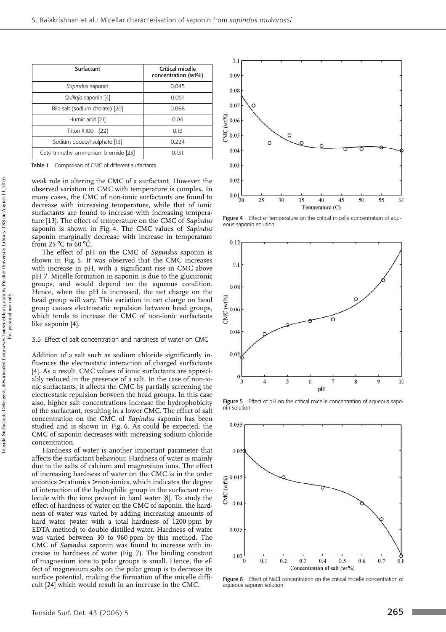| Surfactant                            | Critical micelle<br>concentration (wt%) |
|---------------------------------------|-----------------------------------------|
| Sapindus saponin                      | 0.045                                   |
| Quillaja saponin [4]                  | 0.051                                   |
| Bile salt (sodium cholate) [20]       | 0.068                                   |
| Humic acid [21]                       | 0.04                                    |
| Triton X100 <sup>®</sup> [22]         | 0.13                                    |
| Sodium dodecyl sulphate [13]          | 0.224                                   |
| Cetyl trimethyl ammonium bromide [23] | 0.131                                   |

Table 1 Comparison of CMC of different surfactants

weak role in altering the CMC of a surfactant. However, the observed variation in CMC with temperature is complex. In many cases, the CMC of non-ionic surfactants are found to decrease with increasing temperature, while that of ionic surfactants are found to increase with increasing temperature [13]. The effect of temperature on the CMC of *Sapindus* saponin is shown in Fig. 4. The CMC values of *Sapindus* saponin marginally decrease with increase in temperature from 25 $\degree$ C to 60 $\degree$ C.

The effect of pH on the CMC of *Sapindus* saponin is shown in Fig. 5. It was observed that the CMC increases with increase in pH, with a significant rise in CMC above pH 7. Micelle formation in saponin is due to the glucuronic groups, and would depend on the aqueous condition. Hence, when the pH is increased, the net charge on the head group will vary. This variation in net charge on head group causes electrostatic repulsion between head groups, which tends to increase the CMC of non-ionic surfactants like saponin [4].

# 3.5 Effect of salt concentration and hardness of water on CMC

Addition of a salt such as sodium chloride significantly influences the electrostatic interaction of charged surfactants [4]. As a result, CMC values of ionic surfactants are appreciably reduced in the presence of a salt. In the case of non-ionic surfactants, it affects the CMC by partially screening the electrostatic repulsion between the head groups. In this case also, higher salt concentrations increase the hydrophobicity of the surfactant, resulting in a lower CMC. The effect of salt concentration on the CMC of *Sapindus* saponin has been studied and is shown in Fig. 6. As could be expected, the CMC of saponin decreases with increasing sodium chloride concentration.

Hardness of water is another important parameter that affects the surfactant behaviour. Hardness of water is mainly due to the salts of calcium and magnesium ions. The effect of increasing hardness of water on the CMC is in the order anionics > cationics > non-ionics, which indicates the degree of interaction of the hydrophilic group in the surfactant molecule with the ions present in hard water [8]. To study the effect of hardness of water on the CMC of saponin, the hardness of water was varied by adding increasing amounts of hard water (water with a total hardness of 1200 ppm by EDTA method) to double distilled water. Hardness of water was varied between 30 to 960 ppm by this method. The CMC of *Sapindus* saponin was found to increase with increase in hardness of water (Fig. 7). The binding constant of magnesium ions to polar groups is small. Hence, the effect of magnesium salts on the polar group is to decrease its surface potential, making the formation of the micelle difficult [24] which would result in an increase in the CMC.



Figure 4 Effect of temperature on the critical micelle concentration of aqueous saponin solution



Figure 5 Effect of pH on the critical micelle concentration of aqueous saponin solution



Figure 6 Effect of NaCl concentration on the critical micelle concentration of aqueous saponin solution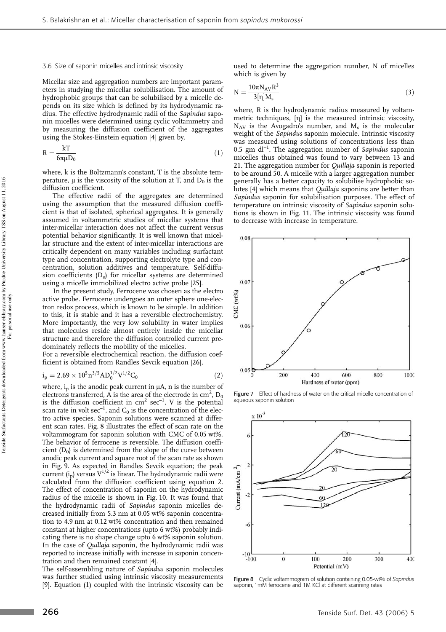#### 3.6 Size of saponin micelles and intrinsic viscosity

Micellar size and aggregation numbers are important parameters in studying the micellar solubilisation. The amount of hydrophobic groups that can be solubilised by a micelle depends on its size which is defined by its hydrodynamic radius. The effective hydrodynamic radii of the *Sapindus* saponin micelles were determined using cyclic voltammetry and by measuring the diffusion coefficient of the aggregates using the Stokes-Einstein equation [4] given by,

$$
R = \frac{kT}{6\pi\mu D_0} \tag{1}
$$

where, k is the Boltzmann's constant, T is the absolute temperature,  $\mu$  is the viscosity of the solution at T, and  $D_0$  is the diffusion coefficient.

The effective radii of the aggregates are determined using the assumption that the measured diffusion coefficient is that of isolated, spherical aggregates. It is generally assumed in voltammetric studies of micellar systems that inter-micellar interaction does not affect the current versus potential behavior significantly. It is well known that micellar structure and the extent of inter-micellar interactions are critically dependent on many variables including surfactant type and concentration, supporting electrolyte type and concentration, solution additives and temperature. Self-diffusion coefficients (D<sup>s</sup> ) for micellar systems are determined using a micelle immobilized electro active probe [25].

In the present study, Ferrocene was chosen as the electro active probe. Ferrocene undergoes an outer sphere one-electron redox process, which is known to be simple. In addition to this, it is stable and it has a reversible electrochemistry. More importantly, the very low solubility in water implies that molecules reside almost entirely inside the micellar structure and therefore the diffusion controlled current predominately reflects the mobility of the micelles.

For a reversible electrochemical reaction, the diffusion coefficient is obtained from Randles Sevcik equation [26],

$$
i_p = 2.69 \times 10^5 \text{m}^{3/5} \text{AD}_0^{1/2} \text{V}^{1/2} \text{C}_0 \tag{2}
$$

where,  $i<sub>p</sub>$  is the anodic peak current in  $\mu$ A, n is the number of electrons transferred, A is the area of the electrode in  $\text{cm}^2$ ,  $\text{D}_0$ is the diffusion coefficient in  $cm^2$  sec<sup>-1</sup>, V is the potential scan rate in volt  $\sec^{-1}$ , and  $C_0$  is the concentration of the electro active species. Saponin solutions were scanned at different scan rates. Fig. 8 illustrates the effect of scan rate on the voltammogram for saponin solution with CMC of 0.05 wt%. The behavior of ferrocene is reversible. The diffusion coefficient (D $_{\rm 0)}$  is determined from the slope of the curve between anodic peak current and square root of the scan rate as shown in Fig. 9. As expected in Randles Sevcik equation; the peak current  $(i_n)$  versus  $V^{1/2}$  is linear. The hydrodynamic radii were calculated from the diffusion coefficient using equation 2. The effect of concentration of saponin on the hydrodynamic radius of the micelle is shown in Fig. 10. It was found that the hydrodynamic radii of *Sapindus* saponin micelles decreased initially from 5.3 nm at 0.05 wt% saponin concentration to 4.9 nm at 0.12 wt% concentration and then remained constant at higher concentrations (upto 6 wt%) probably indicating there is no shape change upto 6 wt% saponin solution. In the case of *Quillaja* saponin, the hydrodynamic radii was reported to increase initially with increase in saponin concentration and then remained constant [4].

The self-assembling nature of *Sapindus* saponin molecules was further studied using intrinsic viscosity measurements [9]. Equation (1) coupled with the intrinsic viscosity can be used to determine the aggregation number, N of micelles which is given by

$$
N = \frac{10\pi N_{AV}R^3}{3[\eta]M_s}
$$
\n(3)

where, R is the hydrodynamic radius measured by voltammetric techniques, [ŋ] is the measured intrinsic viscosity,  $N_{AV}$  is the Avogadro's number, and  $M_s$  is the molecular weight of the *Sapindus* saponin molecule. Intrinsic viscosity was measured using solutions of concentrations less than 0.5 gm dl–1. The aggregation number of *Sapindus* saponin micelles thus obtained was found to vary between 13 and 21. The aggregation number for *Quillaja* saponin is reported to be around 50. A micelle with a larger aggregation number generally has a better capacity to solubilise hydrophobic solutes [4] which means that *Quillaja* saponins are better than *Sapindus* saponin for solubilisation purposes. The effect of temperature on intrinsic viscosity of *Sapindus* saponin solutions is shown in Fig. 11. The intrinsic viscosity was found to decrease with increase in temperature.



Figure 7 Effect of hardness of water on the critical micelle concentration of aqueous saponin solution



Figure 8 Cyclic voltammogram of solution containing 0.05-wt% of *Sapindus* saponin, 1mM ferrocene and 1M KCl at different scanning rates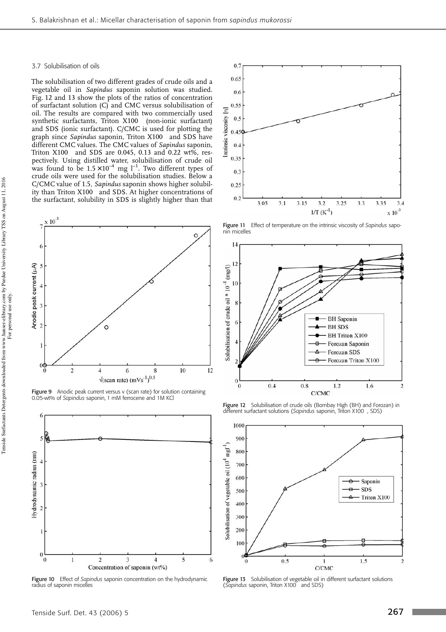#### 3.7 Solubilisation of oils

The solubilisation of two different grades of crude oils and a vegetable oil in *Sapindus* saponin solution was studied. Fig. 12 and 13 show the plots of the ratios of concentration of surfactant solution (C) and CMC versus solubilisation of oil. The results are compared with two commercially used synthetic surfactants, Triton X100 (non-ionic surfactant) and SDS (ionic surfactant). C/CMC is used for plotting the graph since *Sapindus* saponin, Triton X100 and SDS have different CMC values. The CMC values of *Sapindus* saponin, Triton  $X100^\circ$  and SDS are 0.045, 0.13 and 0.22 wt%, respectively. Using distilled water, solubilisation of crude oil was found to be  $1.5 \times 10^{-4}$  mg  $l^{-1}$ . Two different types of crude oils were used for the solubilisation studies. Below a C/CMC value of 1.5, *Sapindus* saponin shows higher solubility than Triton X100 $^\circ$  and SDS. At higher concentrations of the surfactant, solubility in SDS is slightly higher than that



Figure 9 Anodic peak current versus v (scan rate) for solution containing 0.05-wt% of *Sapindus* saponin, 1 mM ferrocene and 1M KCl



Figure 10 Effect of *Sapindus* saponin concentration on the hydrodynamic radius of saponin micelles



Figure 11 Effect of temperature on the intrinsic viscosity of *Sapindus* saponin micelles



Figure 12 Solubilisation of crude oils (Bombay High (BH) and Forozan) in different surfactant solutions (*Sapindus* saponin, Triton X100 , SDS)



**Figure 13** Solubilisation of vegetable oil in different surfactant solutions<br>(*Sapindus* saponin, Triton X100® and SDS)